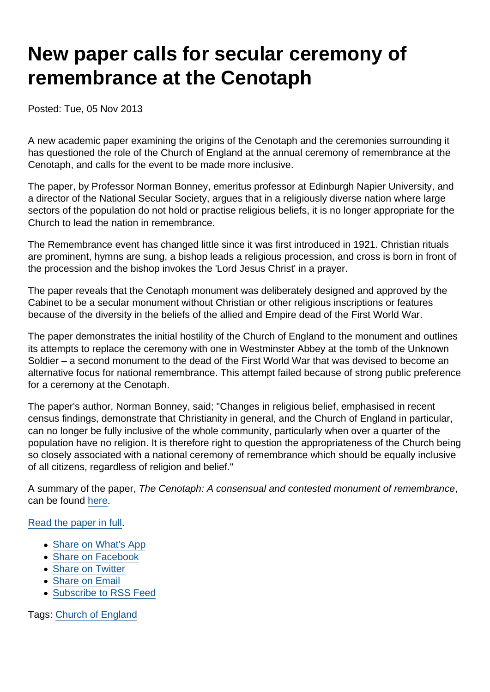## New paper calls for secular ceremony of remembrance at the Cenotaph

Posted: Tue, 05 Nov 2013

A new academic paper examining the origins of the Cenotaph and the ceremonies surrounding it has questioned the role of the Church of England at the annual ceremony of remembrance at the Cenotaph, and calls for the event to be made more inclusive.

The paper, by Professor Norman Bonney, emeritus professor at Edinburgh Napier University, and a director of the National Secular Society, argues that in a religiously diverse nation where large sectors of the population do not hold or practise religious beliefs, it is no longer appropriate for the Church to lead the nation in remembrance.

The Remembrance event has changed little since it was first introduced in 1921. Christian rituals are prominent, hymns are sung, a bishop leads a religious procession, and cross is born in front of the procession and the bishop invokes the 'Lord Jesus Christ' in a prayer.

The paper reveals that the Cenotaph monument was deliberately designed and approved by the Cabinet to be a secular monument without Christian or other religious inscriptions or features because of the diversity in the beliefs of the allied and Empire dead of the First World War.

The paper demonstrates the initial hostility of the Church of England to the monument and outlines its attempts to replace the ceremony with one in Westminster Abbey at the tomb of the Unknown Soldier – a second monument to the dead of the First World War that was devised to become an alternative focus for national remembrance. This attempt failed because of strong public preference for a ceremony at the Cenotaph.

The paper's author, Norman Bonney, said; "Changes in religious belief, emphasised in recent census findings, demonstrate that Christianity in general, and the Church of England in particular, can no longer be fully inclusive of the whole community, particularly when over a quarter of the population have no religion. It is therefore right to question the appropriateness of the Church being so closely associated with a national ceremony of remembrance which should be equally inclusive of all citizens, regardless of religion and belief."

A summary of the paper, The Cenotaph: A consensual and contested monument of remembrance, can be found [here.](https://www.secularism.org.uk/uploads/cenotaph-summary-a-consensual-and-contested-monument-of-remembrance.pdf)

## [Read the paper in full](https://www.secularism.org.uk/uploads/cenotaph-a-consensual-and-contested-monument-of-remembrance.pdf).

- [Share on What's App](whatsapp://send?text=http://www.secularism.org.uk/news/2013/11/new-paper-calls-for-secular-ceremony-of-remembrance-at-the-cenotaph?format=pdf)
- [Share on Facebook](https://www.facebook.com/sharer/sharer.php?u=http://www.secularism.org.uk/news/2013/11/new-paper-calls-for-secular-ceremony-of-remembrance-at-the-cenotaph?format=pdf&t=New+paper+calls+for+secular+ceremony+of+remembrance+at+the+Cenotaph)
- [Share on Twitter](https://twitter.com/intent/tweet?url=http://www.secularism.org.uk/news/2013/11/new-paper-calls-for-secular-ceremony-of-remembrance-at-the-cenotaph?format=pdf&text=New+paper+calls+for+secular+ceremony+of+remembrance+at+the+Cenotaph&via=NatSecSoc)
- [Share on Email](https://www.secularism.org.uk/share.html?url=http://www.secularism.org.uk/news/2013/11/new-paper-calls-for-secular-ceremony-of-remembrance-at-the-cenotaph?format=pdf&title=New+paper+calls+for+secular+ceremony+of+remembrance+at+the+Cenotaph)
- [Subscribe to RSS Feed](/mnt/web-data/www/cp-nss/feeds/rss/news)

Tags: [Church of England](https://www.secularism.org.uk/news/tags/Church+of+England)